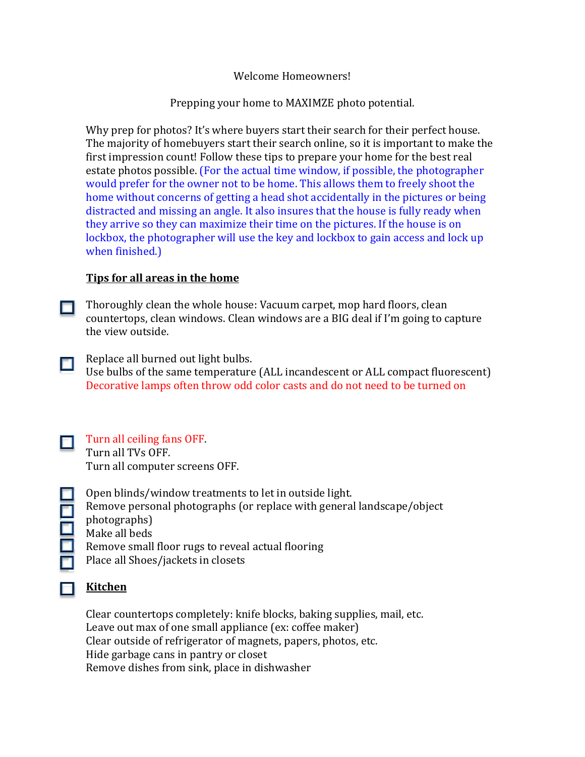#### Welcome Homeowners!

#### Prepping your home to MAXIMZE photo potential.

Why prep for photos? It's where buyers start their search for their perfect house. The majority of homebuyers start their search online, so it is important to make the first impression count! Follow these tips to prepare your home for the best real estate photos possible. (For the actual time window, if possible, the photographer would prefer for the owner not to be home. This allows them to freely shoot the home without concerns of getting a head shot accidentally in the pictures or being distracted and missing an angle. It also insures that the house is fully ready when they arrive so they can maximize their time on the pictures. If the house is on lockbox, the photographer will use the key and lockbox to gain access and lock up when finished.)

#### **Tips for all areas in the home**

Thoroughly clean the whole house: Vacuum carpet, mop hard floors, clean О. countertops, clean windows. Clean windows are a BIG deal if I'm going to capture the view outside.

Replace all burned out light bulbs. Use bulbs of the same temperature (ALL incandescent or ALL compact fluorescent) Decorative lamps often throw odd color casts and do not need to be turned on

Turn all ceiling fans OFF. Turn all TVs OFF. Turn all computer screens OFF.

Open blinds/window treatments to let in outside light. Remove personal photographs (or replace with general landscape/object photographs) Make all beds Remove small floor rugs to reveal actual flooring Place all Shoes/jackets in closets

#### **Kitchen**

Clear countertops completely: knife blocks, baking supplies, mail, etc. Leave out max of one small appliance (ex: coffee maker) Clear outside of refrigerator of magnets, papers, photos, etc. Hide garbage cans in pantry or closet Remove dishes from sink, place in dishwasher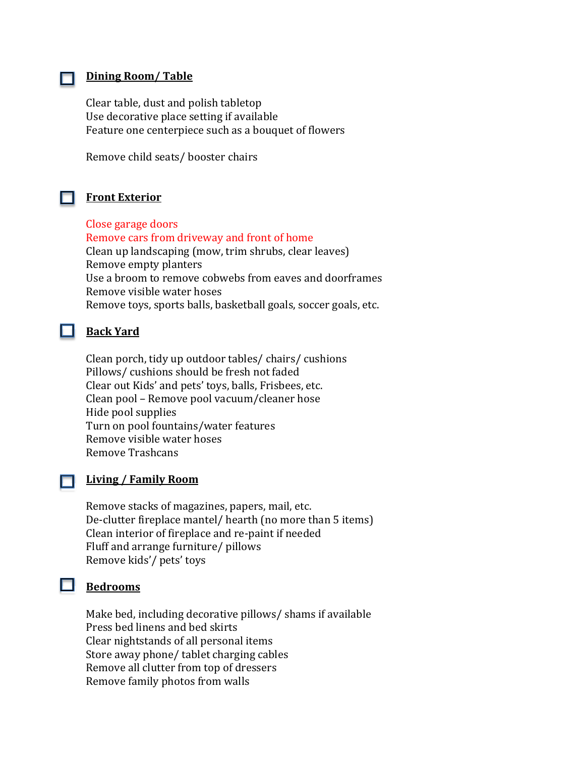#### **Dining Room/ Table**

Clear table, dust and polish tabletop Use decorative place setting if available Feature one centerpiece such as a bouquet of flowers

Remove child seats/ booster chairs

#### **Front Exterior**

Close garage doors Remove cars from driveway and front of home Clean up landscaping (mow, trim shrubs, clear leaves) Remove empty planters Use a broom to remove cobwebs from eaves and doorframes Remove visible water hoses Remove toys, sports balls, basketball goals, soccer goals, etc.

#### **Back Yard**

Clean porch, tidy up outdoor tables/ chairs/ cushions Pillows/ cushions should be fresh not faded Clear out Kids' and pets' toys, balls, Frisbees, etc. Clean pool – Remove pool vacuum/cleaner hose Hide pool supplies Turn on pool fountains/water features Remove visible water hoses Remove Trashcans

#### п.

#### **Living / Family Room**

Remove stacks of magazines, papers, mail, etc. De-clutter fireplace mantel/ hearth (no more than 5 items) Clean interior of fireplace and re-paint if needed Fluff and arrange furniture/ pillows Remove kids'/ pets' toys

## **Bedrooms**

Make bed, including decorative pillows/ shams if available Press bed linens and bed skirts Clear nightstands of all personal items Store away phone/ tablet charging cables Remove all clutter from top of dressers Remove family photos from walls